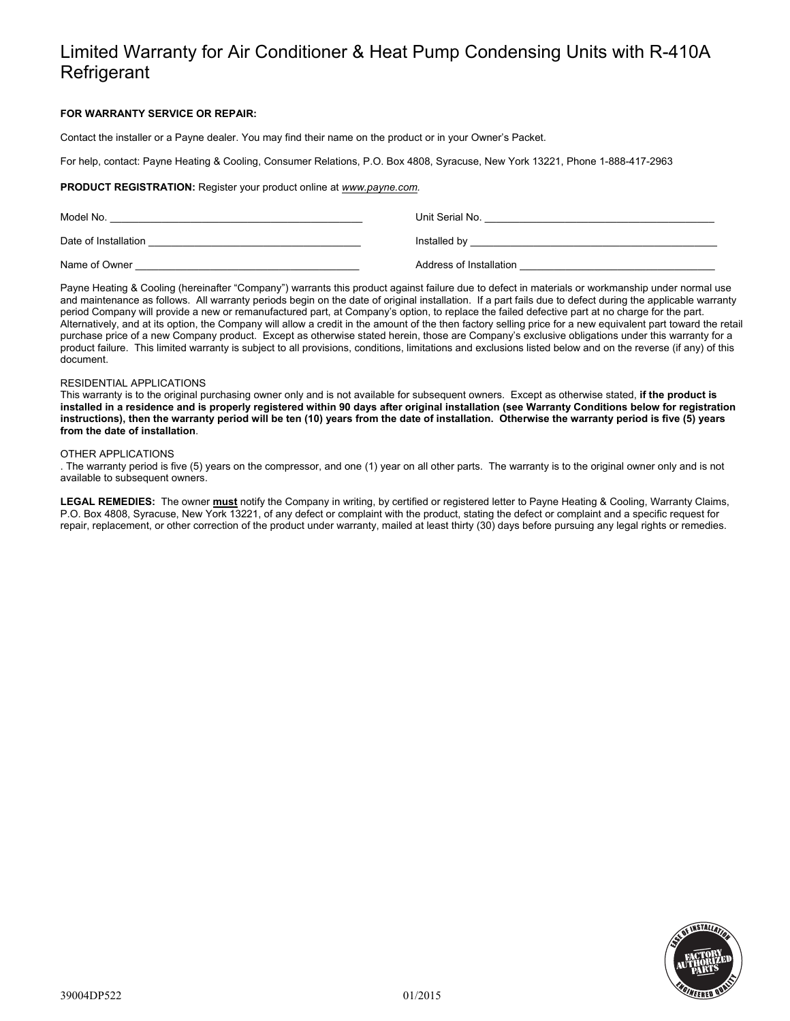# Limited Warranty for Air Conditioner & Heat Pump Condensing Units with R-410A **Refrigerant**

## **FOR WARRANTY SERVICE OR REPAIR:**

Contact the installer or a Payne dealer. You may find their name on the product or in your Owner's Packet.

For help, contact: Payne Heating & Cooling, Consumer Relations, P.O. Box 4808, Syracuse, New York 13221, Phone 1-888-417-2963

## **PRODUCT REGISTRATION:** Register your product online at *www.payne.com.*

| Model No.            | Unit Serial No.         |
|----------------------|-------------------------|
| Date of Installation | Installed by            |
| Name of Owner        | Address of Installation |

Payne Heating & Cooling (hereinafter "Company") warrants this product against failure due to defect in materials or workmanship under normal use and maintenance as follows. All warranty periods begin on the date of original installation. If a part fails due to defect during the applicable warranty period Company will provide a new or remanufactured part, at Company's option, to replace the failed defective part at no charge for the part. Alternatively, and at its option, the Company will allow a credit in the amount of the then factory selling price for a new equivalent part toward the retail purchase price of a new Company product. Except as otherwise stated herein, those are Company's exclusive obligations under this warranty for a product failure. This limited warranty is subject to all provisions, conditions, limitations and exclusions listed below and on the reverse (if any) of this document.

#### RESIDENTIAL APPLICATIONS

This warranty is to the original purchasing owner only and is not available for subsequent owners. Except as otherwise stated, **if the product is installed in a residence and is properly registered within 90 days after original installation (see Warranty Conditions below for registration instructions), then the warranty period will be ten (10) years from the date of installation. Otherwise the warranty period is five (5) years from the date of installation**.

#### OTHER APPLICATIONS

. The warranty period is five (5) years on the compressor, and one (1) year on all other parts. The warranty is to the original owner only and is not available to subsequent owners.

**LEGAL REMEDIES:** The owner **must** notify the Company in writing, by certified or registered letter to Payne Heating & Cooling, Warranty Claims, P.O. Box 4808, Syracuse, New York 13221, of any defect or complaint with the product, stating the defect or complaint and a specific request for repair, replacement, or other correction of the product under warranty, mailed at least thirty (30) days before pursuing any legal rights or remedies.